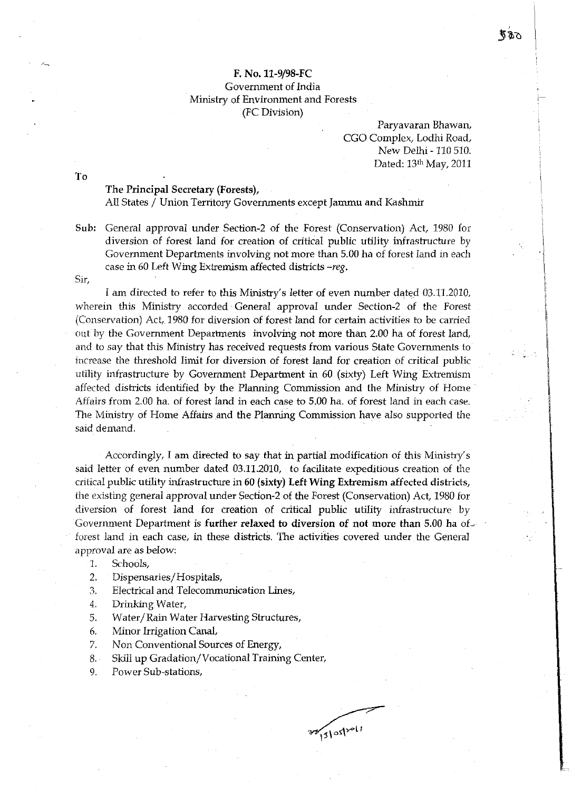## F. No.11-9/98-FC Government of India Ministry of Environment and Forests (FC Division)

## Paryavaran Bhawan, CGO Complex, Lodhi Road, New Delhi - 110 510. Dated: 13th May, 2011

The Principal Secretary (Forests),

All States / Union Territory Governments except Jammu and Kashmir

Sub: General approval under Section-2 of the Forest (Conservation) Act, 1980 for diversion of forest land for creation of critical public utility infrastructure by Government Departments involving not more than 5.00 ha of forest land in each case in 60 Left Wing Extremism affected districts *-reg.* 

Sir,

To

1 am directed to refer to this Ministry's letter of even number dated 03.11.2010, wherein this Ministry accorded General approval under Section-2 of the Forest (Conservation) Act, 1980 for diversion of forest land for certain activities to be carried out by the Government Departments involving not more than 2.00 ha of forest land, and to say that this Ministry has received requests from various State Governments to increase the threshold limit for diversion of forest land for creation of critical public utility infrastructure by Government Department in 60 (sixty) Left Wing Extremism affected districts identified by the Planning Commission and the Ministry of Home Affairs from 2.00 ha. of forest land in each case to 5.00 ha. of forest land in each case. The Ministry of Home Affairs and the Planning Commission have also supported the said demand.

Accordingly, I am directed to say that in partial modification of this Ministry's said letter of even number dated 03.11.2010, to facilitate expeditious creation of the critical public utility infrastructure in 60 (sixty) Left Wing Extremism affected districts, the existing general approval under Section-2 of the Forest (Conservation) Act, 1980 for diversion of forest land for creation of critical public utility infrastructure by Government Department is further relaxed to diversion of not more than 5.00 ha of. forest land in each case, in these districts. The activities covered under the General approval are as below:

- 1. Schools,
- 2. Dispensaries/Hospitals,
- 3. Electrical and Telecommunication Lines,
- 4. Drinking Water,
- 5. Water/Rain Water Harvesting Structures,
- 6. Minor Irrigation CanaL
- 7. Non Conventional Sources of Energy,
- 8. Skill up Gradation/Vocational Training Center,
- 9. Power Sub-stations,

 $77/31051$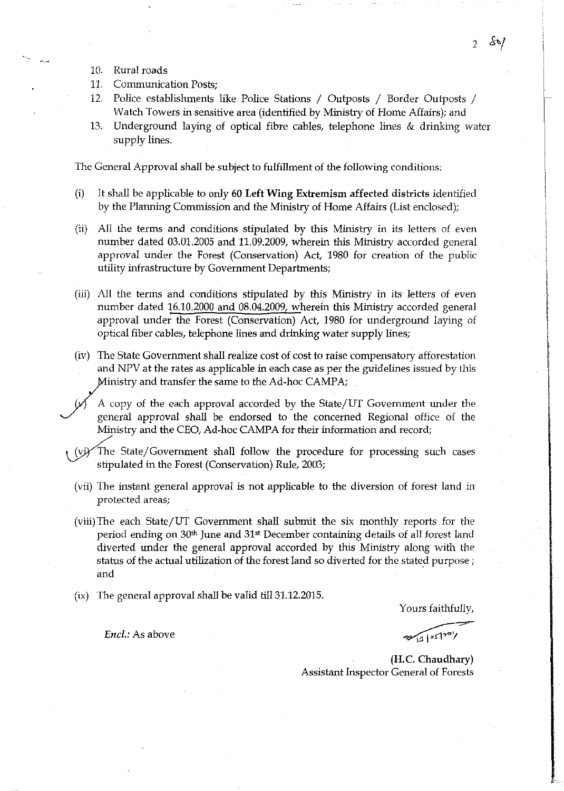- 10. Rural roads
- 11. Communication Posts:
- 12. Police establishments like Police Stations / Outposts / Border Outposts / Watch Towers in sensitive area (identified by Ministry of Home Affairs); and
- 13. Underground laying of optical fibre cables, telephone lines & drinking water supply lines.

The General Approval shall be subject to fulfillment of the following conditions:

- (i) It shall be applicable to only 60 Left Wing Extremism affected districts identified by the Planning Commission and the Ministry of Home Affairs (List enclosed);
- (ii) All the terms and conditions stipulated by this Ministry in its letters of even number dated 03.01.2005 and 11.09.2009, wherein this Ministry accorded general approval under the Forest (Conservation) Act, 1980 for creation of the public utility infrastructure by Government Departments;
- (iii) All the terms and conditions stipulated by this Ministry in its letters of even number dated 16.10.2000 and 08.04.2009, wherein this Minishy accorded general approval under the Forest (Conservation) Act, 1980 for underground laying of optical fiber cables, telephone lines and drinking water supply lines;
- (iv) The State Government shall realize cost of cost to raise compensatory afforestation and NPV at the rates as applicable in each case as per the guidelines issued by this
- Ministry and transfer the same to the Ad-hoc CAMPA;<br>A copy of the each approval accorded by the State/<br>general approval shall be endorsed to the concern A copy of the each approval accorded by the State/UT Government under the general approval shall be endorsed to the concerned Regional office of the Ministry and the CEO, Ad-hoc CAMPA for their information and record;
	- The State/Government shall follow the procedure for processing such cases stipulated in the Forest (Conservation) Rule, 2003;
		- (vii) The instant general approval is not applicable to the diversion of forest land in protected areas;
		- (viii) The each State/UT Government shall submit the six monthly reports for the period ending on 30th June and 31st December containing details of all forest land diverted under the general approval accorded by this Ministry along with the status of the actual utilization of the forest land so diverted for the stated purpose; and
		- (ix) The general approval shall be valid till 31.12.2015.

Encl.: As above

Yours faithfully,

Yours faithfully,

(H.C. Chaudhary) Assistant Inspector General of Forests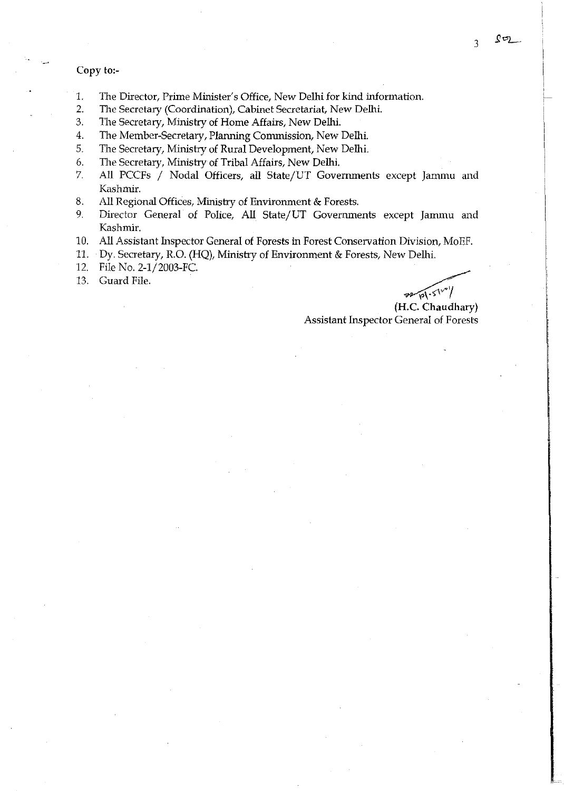## Copy to:-

- 1. The Director, Prime Minister's Office, New Delhi for kind information.
- 2. The Secretary (Coordination), Cabinet Secretariat, New Delhi.<br>3. The Secretary, Ministry of Home Affairs, New Delhi.
- The Secretary, Ministry of Home Affairs, New Delhi.
- 4. The Member-Secretary, Planning Commission, New Delhi.
- 5. The Secretary, Ministry of Rural Development, New Delhi.<br>6. The Secretary, Ministry of Tribal Affairs, New Delhi.
- The Secretary, Ministry of Tribal Affairs, New Delhi.
- 7. All PCCFs / Nodal Officers, all State/UT Governments except Jammu and Kashmir.
- 8. All Regional Offices, Ministry of Environment & Forests.
- 9. Director General of Police, All State/UT Governments except Jammu and Kashmir.
- 10. All Assistant Inspector General of Forests in Forest Conservation Division, MoEF.
- 11. . Dy. Secretary, R.O. (HQ), Ministry of Environment & Forests, New Delhi.
- 12. File No. *2-1j2003-FC.*
- 13. Guard File.

(H.C. Chaudhary)  $/$  Delhi.<br>  $\overbrace{ }$ <br>  $\overbrace{ }$  L.C. Chaudhary)

Assistant Inspector General of Forests

3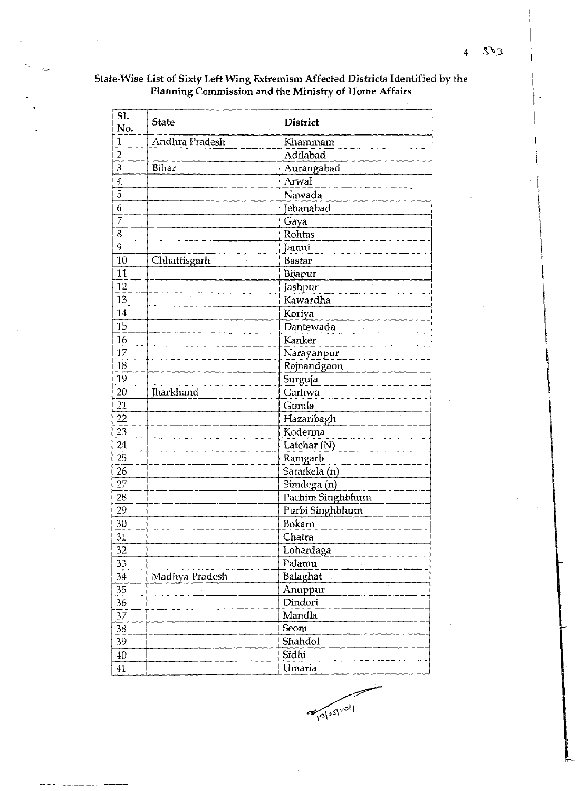| SI.<br>No.     | <b>State</b>   | <b>District</b>  |
|----------------|----------------|------------------|
| 1              | Andhra Pradesh | Khammam          |
| $\overline{2}$ |                | Adilabad         |
| 3              | Bihar          | Aurangabad       |
| $\overline{4}$ |                | Arwal            |
| 5              |                | Nawada           |
| 6              |                | Jehanabad        |
| 7              |                | Gaya             |
| 8              |                | Rohtas           |
| 9              |                | Jamui            |
| 10             | Chhattisgarh   | <b>Bastar</b>    |
| 11             |                | Bijapur          |
| 12             |                | Jashpur          |
| 13             |                | Kawardha         |
| 14             |                | Koriya           |
| 15             |                | Dantewada        |
| 16             |                | Kanker           |
| 17             |                | Narayanpur       |
| 18             |                | Rajnandgaon      |
| 19             |                | Surguja          |
| 20             | Jharkhand      | Garhwa           |
| 21             |                | Gumla            |
| 22             |                | Hazaribagh       |
| 23             |                | Koderma          |
| 24             |                | Latehar $(N)$    |
| 25             |                | Ramgarh          |
| 26             |                | Saraikela (n)    |
| 27             |                | Simdega(n)       |
| 28             |                | Pachim Singhbhum |
| 29             |                | Purbi Singhbhum  |
| 30             |                | Bokaro           |
| 31             |                | Chatra           |
| 32             |                | Lohardaga        |
| 33             |                | Palamu           |
| 34             | Madhya Pradesh | Balaghat         |
| 35             |                | Anuppur          |
| 36             |                | Dindori          |
| 37             |                | Mandla           |
| 38             |                | Seoni            |
| 39             |                | Shahdol          |
| 40             |                | Sidhi            |
| 41             |                | Umaria           |

## State-Wise List of Sixty Left Wing Extremism Affected Districts Identified by the Planning Commission and the Ministry of Home Affairs

Walashall